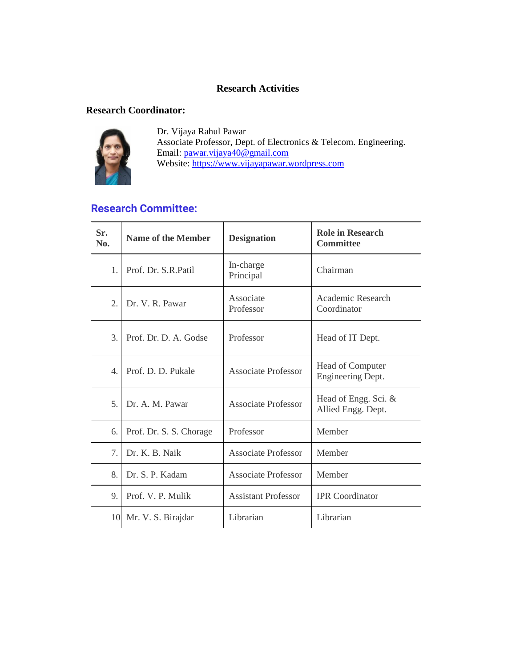#### **Research Activities**

#### **Research Coordinator:**



Dr. Vijaya Rahul Pawar Associate Professor, Dept. of Electronics & Telecom. Engineering. Email: [pawar.vijaya40@gmail.com](mailto:pawar.vijaya40@gmail.com) Website: [https://www.vijayapawar.wordpress.com](https://www.vijayapawar.wordpress.com/)

#### **Research Committee:**

| Sr.<br>No.     | <b>Name of the Member</b> | <b>Designation</b>         | <b>Role in Research</b><br><b>Committee</b> |
|----------------|---------------------------|----------------------------|---------------------------------------------|
| 1              | Prof. Dr. S.R.Patil       | In-charge<br>Principal     | Chairman                                    |
| 2.             | Dr. V. R. Pawar           | Associate<br>Professor     | Academic Research<br>Coordinator            |
| 3.             | Prof. Dr. D. A. Godse     | Professor                  | Head of IT Dept.                            |
| $\overline{4}$ | Prof. D. D. Pukale        | <b>Associate Professor</b> | Head of Computer<br>Engineering Dept.       |
| 5.             | Dr. A. M. Pawar           | <b>Associate Professor</b> | Head of Engg. Sci. &<br>Allied Engg. Dept.  |
| 6.             | Prof. Dr. S. S. Chorage   | Professor                  | Member                                      |
| 7.             | Dr. K. B. Naik            | <b>Associate Professor</b> | Member                                      |
| 8.             | Dr. S. P. Kadam           | <b>Associate Professor</b> | Member                                      |
| 9.             | Prof. V. P. Mulik         | <b>Assistant Professor</b> | <b>IPR</b> Coordinator                      |
|                | 10 Mr. V. S. Birajdar     | Librarian                  | Librarian                                   |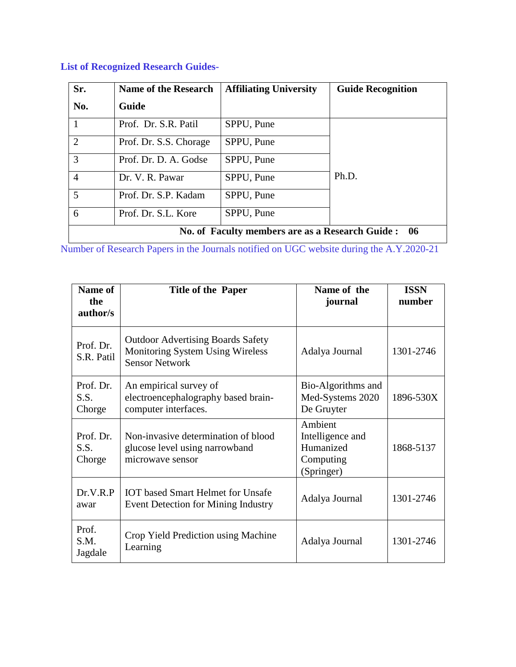| Sr.            | <b>Name of the Research</b> | <b>Affiliating University</b>                    | <b>Guide Recognition</b> |
|----------------|-----------------------------|--------------------------------------------------|--------------------------|
| No.            | <b>Guide</b>                |                                                  |                          |
|                | Prof. Dr. S.R. Patil        | SPPU, Pune                                       |                          |
| $\overline{2}$ | Prof. Dr. S.S. Chorage      | SPPU, Pune                                       |                          |
| 3              | Prof. Dr. D. A. Godse       | SPPU, Pune                                       |                          |
| 4              | Dr. V. R. Pawar             | SPPU, Pune                                       | Ph.D.                    |
| 5              | Prof. Dr. S.P. Kadam        | SPPU, Pune                                       |                          |
| 6              | Prof. Dr. S.L. Kore         | SPPU, Pune                                       |                          |
|                |                             | No. of Faculty members are as a Research Guide : | 06                       |

### **List of [Recognized](https://aissmsioit.org/wp-content/uploads/2021/01/List-of-Recognized-Research-Guides.pdf) Research Guides-**

Number of Research Papers in the Journals notified on UGC website during the A.Y.2020-21

| Name of<br>the              | <b>Title of the Paper</b>                                                                                    | Name of the<br>journal                                              | <b>ISSN</b><br>number |
|-----------------------------|--------------------------------------------------------------------------------------------------------------|---------------------------------------------------------------------|-----------------------|
| author/s                    |                                                                                                              |                                                                     |                       |
| Prof. Dr.<br>S.R. Patil     | <b>Outdoor Advertising Boards Safety</b><br><b>Monitoring System Using Wireless</b><br><b>Sensor Network</b> | Adalya Journal                                                      | 1301-2746             |
| Prof. Dr.<br>S.S.<br>Chorge | An empirical survey of<br>electroencephalography based brain-<br>computer interfaces.                        | Bio-Algorithms and<br>Med-Systems 2020<br>De Gruyter                | 1896-530X             |
| Prof. Dr.<br>S.S.<br>Chorge | Non-invasive determination of blood<br>glucose level using narrowband<br>microwave sensor                    | Ambient<br>Intelligence and<br>Humanized<br>Computing<br>(Springer) | 1868-5137             |
| Dr.V.R.P<br>awar            | <b>IOT</b> based Smart Helmet for Unsafe<br>Event Detection for Mining Industry                              | Adalya Journal                                                      | 1301-2746             |
| Prof.<br>S.M.<br>Jagdale    | Crop Yield Prediction using Machine<br>Learning                                                              | Adalya Journal                                                      | 1301-2746             |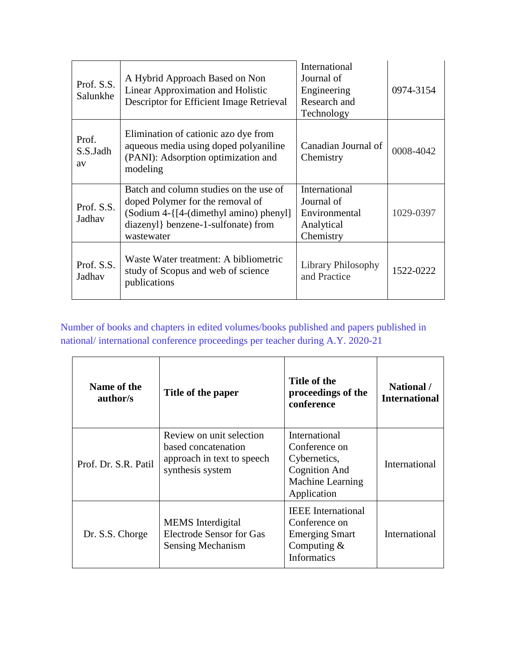| Prof. S.S.<br>Salunkhe  | A Hybrid Approach Based on Non<br>Linear Approximation and Holistic<br>Descriptor for Efficient Image Retrieval                                                           | International<br>Journal of<br>Engineering<br>Research and<br>Technology | 0974-3154 |
|-------------------------|---------------------------------------------------------------------------------------------------------------------------------------------------------------------------|--------------------------------------------------------------------------|-----------|
| Prof.<br>S.S.Jadh<br>av | Elimination of cationic azo dye from<br>aqueous media using doped polyaniline<br>(PANI): Adsorption optimization and<br>modeling                                          | Canadian Journal of<br>Chemistry                                         | 0008-4042 |
| Prof. S.S.<br>Jadhav    | Batch and column studies on the use of<br>doped Polymer for the removal of<br>(Sodium 4-{[4-(dimethyl amino) phenyl]<br>diazenyl} benzene-1-sulfonate) from<br>wastewater | International<br>Journal of<br>Environmental<br>Analytical<br>Chemistry  | 1029-0397 |
| Prof. S.S.<br>Jadhav    | Waste Water treatment: A bibliometric<br>study of Scopus and web of science<br>publications                                                                               | <b>Library Philosophy</b><br>and Practice                                | 1522-0222 |

## Number of books and chapters in edited volumes/books published and papers published in national/ international conference proceedings per teacher during A.Y. 2020-21

| Name of the<br>author/s | Title of the paper                                                                                | Title of the<br>proceedings of the<br>conference                                                           | National /<br><b>International</b> |
|-------------------------|---------------------------------------------------------------------------------------------------|------------------------------------------------------------------------------------------------------------|------------------------------------|
| Prof. Dr. S.R. Patil    | Review on unit selection<br>based concatenation<br>approach in text to speech<br>synthesis system | International<br>Conference on<br>Cybernetics,<br><b>Cognition And</b><br>Machine Learning<br>Application  | International                      |
| Dr. S.S. Chorge         | <b>MEMS</b> Interdigital<br>Electrode Sensor for Gas<br>Sensing Mechanism                         | <b>IEEE</b> International<br>Conference on<br><b>Emerging Smart</b><br>Computing $&$<br><b>Informatics</b> | International                      |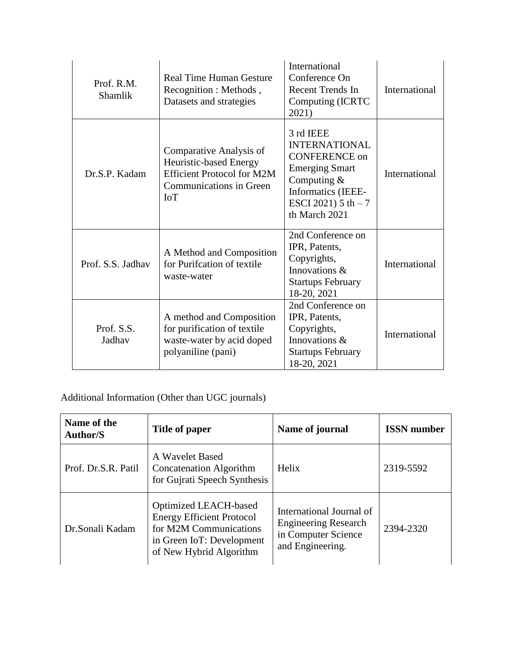| Prof. R.M.<br><b>Shamlik</b> | <b>Real Time Human Gesture</b><br>Recognition : Methods,<br>Datasets and strategies                                                    | International<br>Conference On<br><b>Recent Trends In</b><br>Computing (ICRTC<br>2021)                                                                              | International |
|------------------------------|----------------------------------------------------------------------------------------------------------------------------------------|---------------------------------------------------------------------------------------------------------------------------------------------------------------------|---------------|
| Dr.S.P. Kadam                | Comparative Analysis of<br>Heuristic-based Energy<br><b>Efficient Protocol for M2M</b><br><b>Communications in Green</b><br><b>IoT</b> | 3 rd IEEE<br><b>INTERNATIONAL</b><br><b>CONFERENCE on</b><br><b>Emerging Smart</b><br>Computing $&$<br>Informatics (IEEE-<br>ESCI 2021) $5 th - 7$<br>th March 2021 | International |
| Prof. S.S. Jadhav            | A Method and Composition<br>for Purifcation of textile<br>waste-water                                                                  | 2nd Conference on<br>IPR, Patents,<br>Copyrights,<br>Innovations &<br><b>Startups February</b><br>18-20, 2021                                                       | International |
| Prof. S.S.<br>Jadhav         | A method and Composition<br>for purification of textile<br>waste-water by acid doped<br>polyaniline (pani)                             | 2nd Conference on<br>IPR, Patents,<br>Copyrights,<br>Innovations &<br><b>Startups February</b><br>18-20, 2021                                                       | International |

### Additional Information (Other than UGC journals)

| Name of the<br><b>Author/S</b> | Title of paper                                                                                                                              | Name of journal                                                                                    | <b>ISSN</b> number |
|--------------------------------|---------------------------------------------------------------------------------------------------------------------------------------------|----------------------------------------------------------------------------------------------------|--------------------|
| Prof. Dr.S.R. Patil            | A Wavelet Based<br><b>Concatenation Algorithm</b><br>for Gujrati Speech Synthesis                                                           | Helix                                                                                              | 2319-5592          |
| Dr.Sonali Kadam                | Optimized LEACH-based<br><b>Energy Efficient Protocol</b><br>for M2M Communications<br>in Green IoT: Development<br>of New Hybrid Algorithm | International Journal of<br><b>Engineering Research</b><br>in Computer Science<br>and Engineering. | 2394-2320          |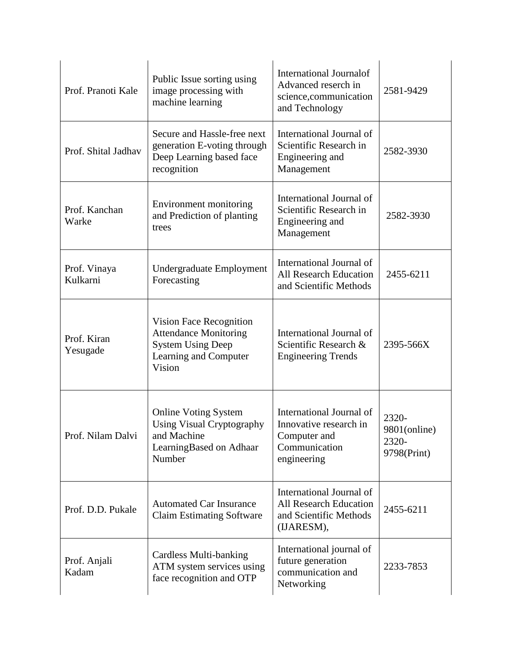| Prof. Pranoti Kale       | Public Issue sorting using<br>image processing with<br>machine learning                                                | <b>International Journalof</b><br>Advanced reserch in<br>science, communication<br>and Technology  | 2581-9429                                     |
|--------------------------|------------------------------------------------------------------------------------------------------------------------|----------------------------------------------------------------------------------------------------|-----------------------------------------------|
| Prof. Shital Jadhav      | Secure and Hassle-free next<br>generation E-voting through<br>Deep Learning based face<br>recognition                  | International Journal of<br>Scientific Research in<br>Engineering and<br>Management                | 2582-3930                                     |
| Prof. Kanchan<br>Warke   | Environment monitoring<br>and Prediction of planting<br>trees                                                          | International Journal of<br>Scientific Research in<br>Engineering and<br>Management                | 2582-3930                                     |
| Prof. Vinaya<br>Kulkarni | Undergraduate Employment<br>Forecasting                                                                                | International Journal of<br><b>All Research Education</b><br>and Scientific Methods                | 2455-6211                                     |
| Prof. Kiran<br>Yesugade  | Vision Face Recognition<br><b>Attendance Monitoring</b><br><b>System Using Deep</b><br>Learning and Computer<br>Vision | International Journal of<br>Scientific Research &<br><b>Engineering Trends</b>                     | 2395-566X                                     |
| Prof. Nilam Dalvi        | <b>Online Voting System</b><br><b>Using Visual Cryptography</b><br>and Machine<br>LearningBased on Adhaar<br>Number    | International Journal of<br>Innovative research in<br>Computer and<br>Communication<br>engineering | 2320-<br>9801(online)<br>2320-<br>9798(Print) |
| Prof. D.D. Pukale        | <b>Automated Car Insurance</b><br><b>Claim Estimating Software</b>                                                     | International Journal of<br><b>All Research Education</b><br>and Scientific Methods<br>(IJARESM),  | 2455-6211                                     |
| Prof. Anjali<br>Kadam    | Cardless Multi-banking<br>ATM system services using<br>face recognition and OTP                                        | International journal of<br>future generation<br>communication and<br>Networking                   | 2233-7853                                     |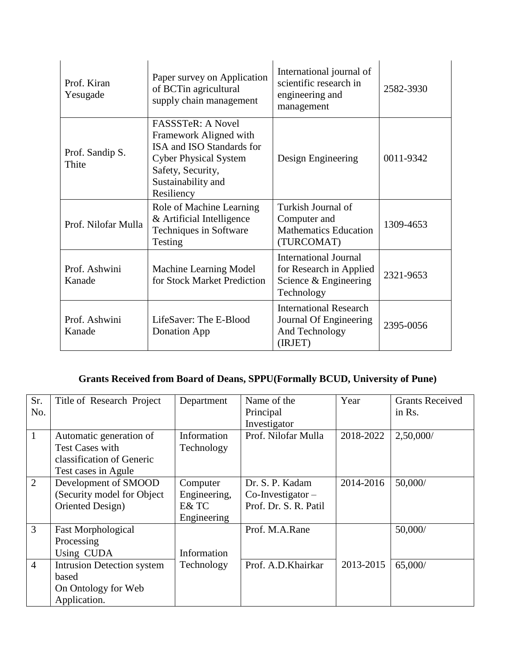| Prof. Kiran<br>Yesugade  | Paper survey on Application<br>of BCTin agricultural<br>supply chain management                                                                                          | International journal of<br>scientific research in<br>engineering and<br>management            | 2582-3930 |
|--------------------------|--------------------------------------------------------------------------------------------------------------------------------------------------------------------------|------------------------------------------------------------------------------------------------|-----------|
| Prof. Sandip S.<br>Thite | <b>FASSSTeR: A Novel</b><br>Framework Aligned with<br>ISA and ISO Standards for<br><b>Cyber Physical System</b><br>Safety, Security,<br>Sustainability and<br>Resiliency | Design Engineering                                                                             | 0011-9342 |
| Prof. Nilofar Mulla      | Role of Machine Learning<br>& Artificial Intelligence<br>Techniques in Software<br>Testing                                                                               | Turkish Journal of<br>Computer and<br><b>Mathematics Education</b><br>(TURCOMAT)               | 1309-4653 |
| Prof. Ashwini<br>Kanade  | Machine Learning Model<br>for Stock Market Prediction                                                                                                                    | <b>International Journal</b><br>for Research in Applied<br>Science & Engineering<br>Technology | 2321-9653 |
| Prof. Ashwini<br>Kanade  | LifeSaver: The E-Blood<br>Donation App                                                                                                                                   | <b>International Research</b><br>Journal Of Engineering<br>And Technology<br>(IRJET)           | 2395-0056 |

### **Grants Received from Board of Deans, SPPU(Formally BCUD, University of Pune)**

| Sr.            | Title of Research Project   | Department   | Name of the           | Year      | <b>Grants Received</b> |
|----------------|-----------------------------|--------------|-----------------------|-----------|------------------------|
| No.            |                             |              | Principal             |           | in Rs.                 |
|                |                             |              | Investigator          |           |                        |
| $\mathbf{1}$   | Automatic generation of     | Information  | Prof. Nilofar Mulla   | 2018-2022 | 2,50,000/              |
|                | <b>Test Cases with</b>      | Technology   |                       |           |                        |
|                | classification of Generic   |              |                       |           |                        |
|                | Test cases in Agule         |              |                       |           |                        |
| $\overline{2}$ | Development of SMOOD        | Computer     | Dr. S. P. Kadam       | 2014-2016 | 50,000/                |
|                | (Security model for Object) | Engineering, | $Co$ -Investigator –  |           |                        |
|                | Oriented Design)            | E& TC        | Prof. Dr. S. R. Patil |           |                        |
|                |                             | Engineering  |                       |           |                        |
| $\overline{3}$ | <b>Fast Morphological</b>   |              | Prof. M.A.Rane        |           | 50,000/                |
|                | Processing                  |              |                       |           |                        |
|                | Using CUDA                  | Information  |                       |           |                        |
| $\overline{4}$ | Intrusion Detection system  | Technology   | Prof. A.D. Khairkar   | 2013-2015 | 65,000/                |
|                | based                       |              |                       |           |                        |
|                | On Ontology for Web         |              |                       |           |                        |
|                | Application.                |              |                       |           |                        |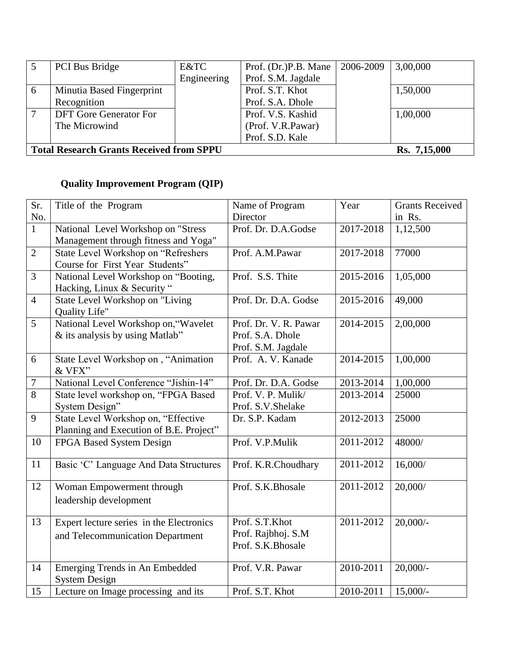|   | <b>PCI</b> Bus Bridge                                           | E&TC        | Prof. (Dr.)P.B. Mane | 2006-2009 | 3,00,000 |
|---|-----------------------------------------------------------------|-------------|----------------------|-----------|----------|
|   |                                                                 | Engineering | Prof. S.M. Jagdale   |           |          |
| 6 | Minutia Based Fingerprint                                       |             | Prof. S.T. Khot      |           | 1,50,000 |
|   | Recognition                                                     |             | Prof. S.A. Dhole     |           |          |
|   | <b>DFT</b> Gore Generator For                                   |             | Prof. V.S. Kashid    |           | 1,00,000 |
|   | The Microwind                                                   |             | (Prof. V.R.Pawar)    |           |          |
|   |                                                                 |             | Prof. S.D. Kale      |           |          |
|   | <b>Total Research Grants Received from SPPU</b><br>Rs. 7,15,000 |             |                      |           |          |

# **Quality Improvement Program (QIP)**

| $\overline{\text{Sr.}}$ | Title of the Program                     | Name of Program       | Year      | <b>Grants Received</b> |
|-------------------------|------------------------------------------|-----------------------|-----------|------------------------|
| No.                     |                                          | Director              |           | in Rs.                 |
| $\overline{1}$          | National Level Workshop on "Stress       | Prof. Dr. D.A.Godse   | 2017-2018 | 1,12,500               |
|                         | Management through fitness and Yoga"     |                       |           |                        |
| $\overline{2}$          | State Level Workshop on "Refreshers      | Prof. A.M.Pawar       | 2017-2018 | 77000                  |
|                         | Course for First Year Students"          |                       |           |                        |
| 3                       | National Level Workshop on "Booting,     | Prof. S.S. Thite      | 2015-2016 | 1,05,000               |
|                         | Hacking, Linux & Security "              |                       |           |                        |
| $\overline{4}$          | State Level Workshop on "Living          | Prof. Dr. D.A. Godse  | 2015-2016 | 49,000                 |
|                         | <b>Quality Life"</b>                     |                       |           |                        |
| $\overline{5}$          | National Level Workshop on, "Wavelet     | Prof. Dr. V. R. Pawar | 2014-2015 | 2,00,000               |
|                         | & its analysis by using Matlab"          | Prof. S.A. Dhole      |           |                        |
|                         |                                          | Prof. S.M. Jagdale    |           |                        |
| 6                       | State Level Workshop on, "Animation      | Prof. A. V. Kanade    | 2014-2015 | 1,00,000               |
|                         | & VFX"                                   |                       |           |                        |
| $\overline{7}$          | National Level Conference "Jishin-14"    | Prof. Dr. D.A. Godse  | 2013-2014 | 1,00,000               |
| 8                       | State level workshop on, "FPGA Based     | Prof. V. P. Mulik/    | 2013-2014 | 25000                  |
|                         | System Design"                           | Prof. S.V. Shelake    |           |                        |
| 9                       | State Level Workshop on, "Effective      | Dr. S.P. Kadam        | 2012-2013 | 25000                  |
|                         | Planning and Execution of B.E. Project"  |                       |           |                        |
| 10                      | FPGA Based System Design                 | Prof. V.P.Mulik       | 2011-2012 | 48000/                 |
|                         |                                          |                       |           |                        |
| 11                      | Basic 'C' Language And Data Structures   | Prof. K.R.Choudhary   | 2011-2012 | 16,000/                |
|                         |                                          |                       |           |                        |
| 12                      | Woman Empowerment through                | Prof. S.K.Bhosale     | 2011-2012 | 20,000/                |
|                         | leadership development                   |                       |           |                        |
|                         |                                          |                       |           |                        |
| 13                      | Expert lecture series in the Electronics | Prof. S.T.Khot        | 2011-2012 | $20,000/$ -            |
|                         | and Telecommunication Department         | Prof. Rajbhoj. S.M    |           |                        |
|                         |                                          | Prof. S.K.Bhosale     |           |                        |
| 14                      | Emerging Trends in An Embedded           | Prof. V.R. Pawar      | 2010-2011 | $20,000/$ -            |
|                         | <b>System Design</b>                     |                       |           |                        |
| 15                      | Lecture on Image processing and its      | Prof. S.T. Khot       | 2010-2011 | $15,000/-$             |